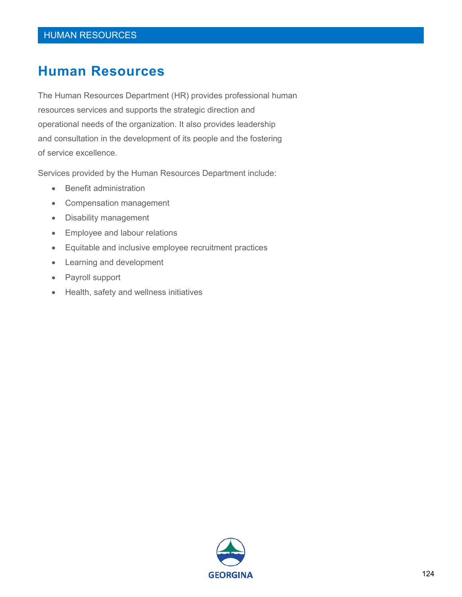## **Human Resources**

The Human Resources Department (HR) provides professional human resources services and supports the strategic direction and operational needs of the organization. It also provides leadership and consultation in the development of its people and the fostering of service excellence.

Services provided by the Human Resources Department include:

- Benefit administration
- Compensation management
- Disability management
- Employee and labour relations
- Equitable and inclusive employee recruitment practices
- Learning and development
- Payroll support
- Health, safety and wellness initiatives

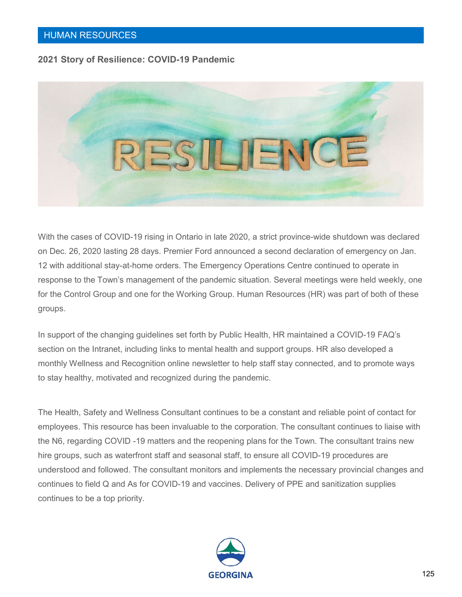#### **2021 Story of Resilience: COVID-19 Pandemic**



With the cases of COVID-19 rising in Ontario in late 2020, a strict province-wide shutdown was declared on Dec. 26, 2020 lasting 28 days. Premier Ford announced a second declaration of emergency on Jan. 12 with additional stay-at-home orders. The Emergency Operations Centre continued to operate in response to the Town's management of the pandemic situation. Several meetings were held weekly, one for the Control Group and one for the Working Group. Human Resources (HR) was part of both of these groups.

In support of the changing guidelines set forth by Public Health, HR maintained a COVID-19 FAQ's section on the Intranet, including links to mental health and support groups. HR also developed a monthly Wellness and Recognition online newsletter to help staff stay connected, and to promote ways to stay healthy, motivated and recognized during the pandemic.

The Health, Safety and Wellness Consultant continues to be a constant and reliable point of contact for employees. This resource has been invaluable to the corporation. The consultant continues to liaise with the N6, regarding COVID -19 matters and the reopening plans for the Town. The consultant trains new hire groups, such as waterfront staff and seasonal staff, to ensure all COVID-19 procedures are understood and followed. The consultant monitors and implements the necessary provincial changes and continues to field Q and As for COVID-19 and vaccines. Delivery of PPE and sanitization supplies continues to be a top priority.

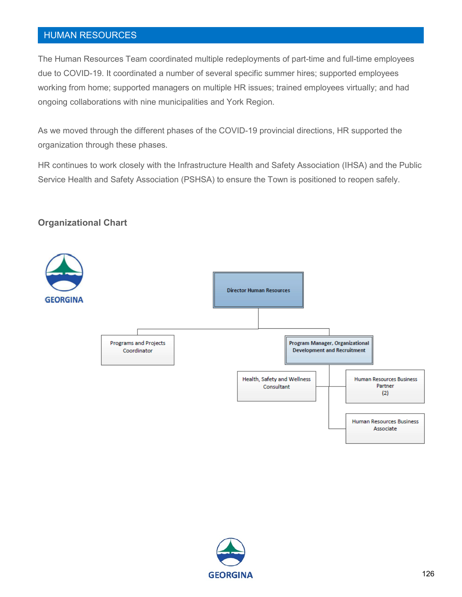### HUMAN RESOURCES

The Human Resources Team coordinated multiple redeployments of part-time and full-time employees due to COVID-19. It coordinated a number of several specific summer hires; supported employees working from home; supported managers on multiple HR issues; trained employees virtually; and had ongoing collaborations with nine municipalities and York Region.

As we moved through the different phases of the COVID-19 provincial directions, HR supported the organization through these phases.

HR continues to work closely with the Infrastructure Health and Safety Association (IHSA) and the Public Service Health and Safety Association (PSHSA) to ensure the Town is positioned to reopen safely.

#### **Organizational Chart**



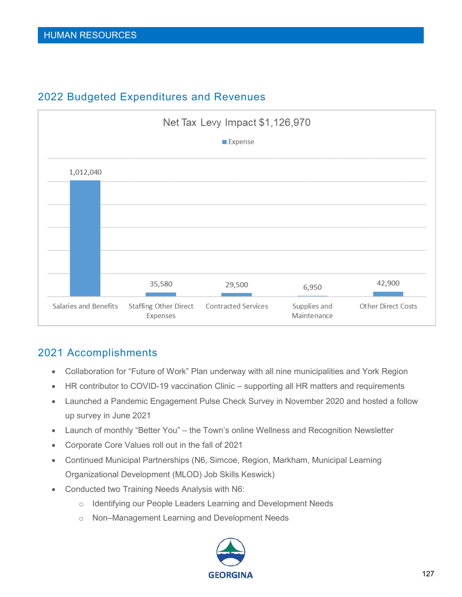

## 2022 Budgeted Expenditures and Revenues

## 2021 Accomplishments

- Collaboration for "Future of Work" Plan underway with all nine municipalities and York Region
- HR contributor to COVID-19 vaccination Clinic supporting all HR matters and requirements
- Launched a Pandemic Engagement Pulse Check Survey in November 2020 and hosted a follow up survey in June 2021
- Launch of monthly "Better You" the Town's online Wellness and Recognition Newsletter
- Corporate Core Values roll out in the fall of 2021
- Continued Municipal Partnerships (N6, Simcoe, Region, Markham, Municipal Learning Organizational Development (MLOD) Job Skills Keswick)
- Conducted two Training Needs Analysis with N6:
	- o Identifying our People Leaders Learning and Development Needs
	- o Non–Management Learning and Development Needs

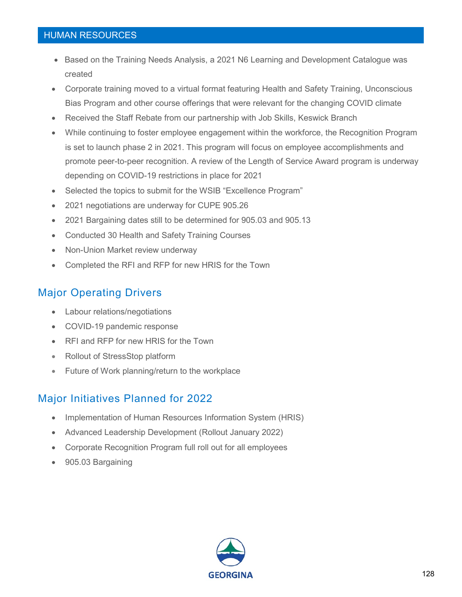#### HUMAN RESOURCES

- Based on the Training Needs Analysis, a 2021 N6 Learning and Development Catalogue was created
- Corporate training moved to a virtual format featuring Health and Safety Training, Unconscious Bias Program and other course offerings that were relevant for the changing COVID climate
- Received the Staff Rebate from our partnership with Job Skills, Keswick Branch
- While continuing to foster employee engagement within the workforce, the Recognition Program is set to launch phase 2 in 2021. This program will focus on employee accomplishments and promote peer-to-peer recognition. A review of the Length of Service Award program is underway depending on COVID-19 restrictions in place for 2021
- Selected the topics to submit for the WSIB "Excellence Program"
- 2021 negotiations are underway for CUPE 905.26
- 2021 Bargaining dates still to be determined for 905.03 and 905.13
- Conducted 30 Health and Safety Training Courses
- Non-Union Market review underway
- Completed the RFI and RFP for new HRIS for the Town

## Major Operating Drivers

- Labour relations/negotiations
- COVID-19 pandemic response
- RFI and RFP for new HRIS for the Town
- Rollout of StressStop platform
- Future of Work planning/return to the workplace

## Major Initiatives Planned for 2022

- Implementation of Human Resources Information System (HRIS)
- Advanced Leadership Development (Rollout January 2022)
- Corporate Recognition Program full roll out for all employees
- 905.03 Bargaining